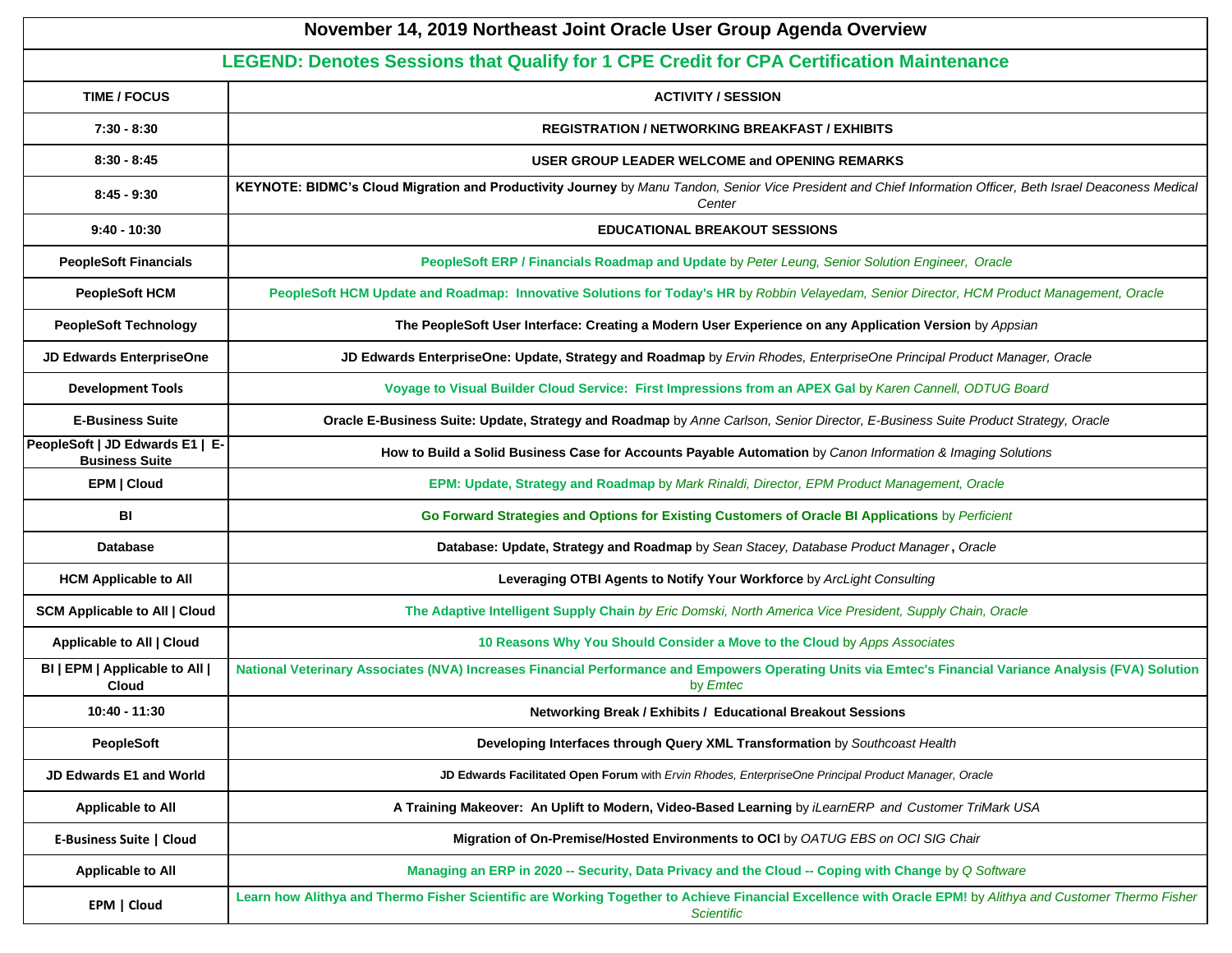| November 14, 2019 Northeast Joint Oracle User Group Agenda Overview                      |                                                                                                                                                                                 |  |  |  |  |
|------------------------------------------------------------------------------------------|---------------------------------------------------------------------------------------------------------------------------------------------------------------------------------|--|--|--|--|
| LEGEND: Denotes Sessions that Qualify for 1 CPE Credit for CPA Certification Maintenance |                                                                                                                                                                                 |  |  |  |  |
| <b>TIME / FOCUS</b>                                                                      | <b>ACTIVITY / SESSION</b>                                                                                                                                                       |  |  |  |  |
| $7:30 - 8:30$                                                                            | <b>REGISTRATION / NETWORKING BREAKFAST / EXHIBITS</b>                                                                                                                           |  |  |  |  |
| $8:30 - 8:45$                                                                            | USER GROUP LEADER WELCOME and OPENING REMARKS                                                                                                                                   |  |  |  |  |
| $8:45 - 9:30$                                                                            | KEYNOTE: BIDMC's Cloud Migration and Productivity Journey by Manu Tandon, Senior Vice President and Chief Information Officer, Beth Israel Deaconess Medical<br>Center          |  |  |  |  |
| $9:40 - 10:30$                                                                           | <b>EDUCATIONAL BREAKOUT SESSIONS</b>                                                                                                                                            |  |  |  |  |
| <b>PeopleSoft Financials</b>                                                             | PeopleSoft ERP / Financials Roadmap and Update by Peter Leung, Senior Solution Engineer, Oracle                                                                                 |  |  |  |  |
| <b>PeopleSoft HCM</b>                                                                    | PeopleSoft HCM Update and Roadmap: Innovative Solutions for Today's HR by Robbin Velayedam, Senior Director, HCM Product Management, Oracle                                     |  |  |  |  |
| <b>PeopleSoft Technology</b>                                                             | The PeopleSoft User Interface: Creating a Modern User Experience on any Application Version by Appsian                                                                          |  |  |  |  |
| <b>JD Edwards EnterpriseOne</b>                                                          | JD Edwards EnterpriseOne: Update, Strategy and Roadmap by Ervin Rhodes, EnterpriseOne Principal Product Manager, Oracle                                                         |  |  |  |  |
| <b>Development Tools</b>                                                                 | Voyage to Visual Builder Cloud Service: First Impressions from an APEX Gal by Karen Cannell, ODTUG Board                                                                        |  |  |  |  |
| <b>E-Business Suite</b>                                                                  | Oracle E-Business Suite: Update, Strategy and Roadmap by Anne Carlson, Senior Director, E-Business Suite Product Strategy, Oracle                                               |  |  |  |  |
| PeopleSoft   JD Edwards E1   E-<br><b>Business Suite</b>                                 | How to Build a Solid Business Case for Accounts Payable Automation by Canon Information & Imaging Solutions                                                                     |  |  |  |  |
| <b>EPM   Cloud</b>                                                                       | EPM: Update, Strategy and Roadmap by Mark Rinaldi, Director, EPM Product Management, Oracle                                                                                     |  |  |  |  |
| BI                                                                                       | Go Forward Strategies and Options for Existing Customers of Oracle BI Applications by Perficient                                                                                |  |  |  |  |
| <b>Database</b>                                                                          | Database: Update, Strategy and Roadmap by Sean Stacey, Database Product Manager, Oracle                                                                                         |  |  |  |  |
| <b>HCM Applicable to All</b>                                                             | Leveraging OTBI Agents to Notify Your Workforce by ArcLight Consulting                                                                                                          |  |  |  |  |
| <b>SCM Applicable to All   Cloud</b>                                                     | The Adaptive Intelligent Supply Chain by Eric Domski, North America Vice President, Supply Chain, Oracle                                                                        |  |  |  |  |
| Applicable to All   Cloud                                                                | 10 Reasons Why You Should Consider a Move to the Cloud by Apps Associates                                                                                                       |  |  |  |  |
| BI   EPM   Applicable to All  <br>Cloud                                                  | National Veterinary Associates (NVA) Increases Financial Performance and Empowers Operating Units via Emtec's Financial Variance Analysis (FVA) Solution<br>by <i>Emtec</i>     |  |  |  |  |
| 10:40 - 11:30                                                                            | Networking Break / Exhibits / Educational Breakout Sessions                                                                                                                     |  |  |  |  |
| <b>PeopleSoft</b>                                                                        | Developing Interfaces through Query XML Transformation by Southcoast Health                                                                                                     |  |  |  |  |
| JD Edwards E1 and World                                                                  | JD Edwards Facilitated Open Forum with Ervin Rhodes, EnterpriseOne Principal Product Manager, Oracle                                                                            |  |  |  |  |
| <b>Applicable to All</b>                                                                 | A Training Makeover: An Uplift to Modern, Video-Based Learning by iLearnERP and Customer TriMark USA                                                                            |  |  |  |  |
| <b>E-Business Suite   Cloud</b>                                                          | Migration of On-Premise/Hosted Environments to OCI by OATUG EBS on OCI SIG Chair                                                                                                |  |  |  |  |
| <b>Applicable to All</b>                                                                 | Managing an ERP in 2020 -- Security, Data Privacy and the Cloud -- Coping with Change by Q Software                                                                             |  |  |  |  |
| EPM   Cloud                                                                              | Learn how Alithya and Thermo Fisher Scientific are Working Together to Achieve Financial Excellence with Oracle EPM! by Alithya and Customer Thermo Fisher<br><b>Scientific</b> |  |  |  |  |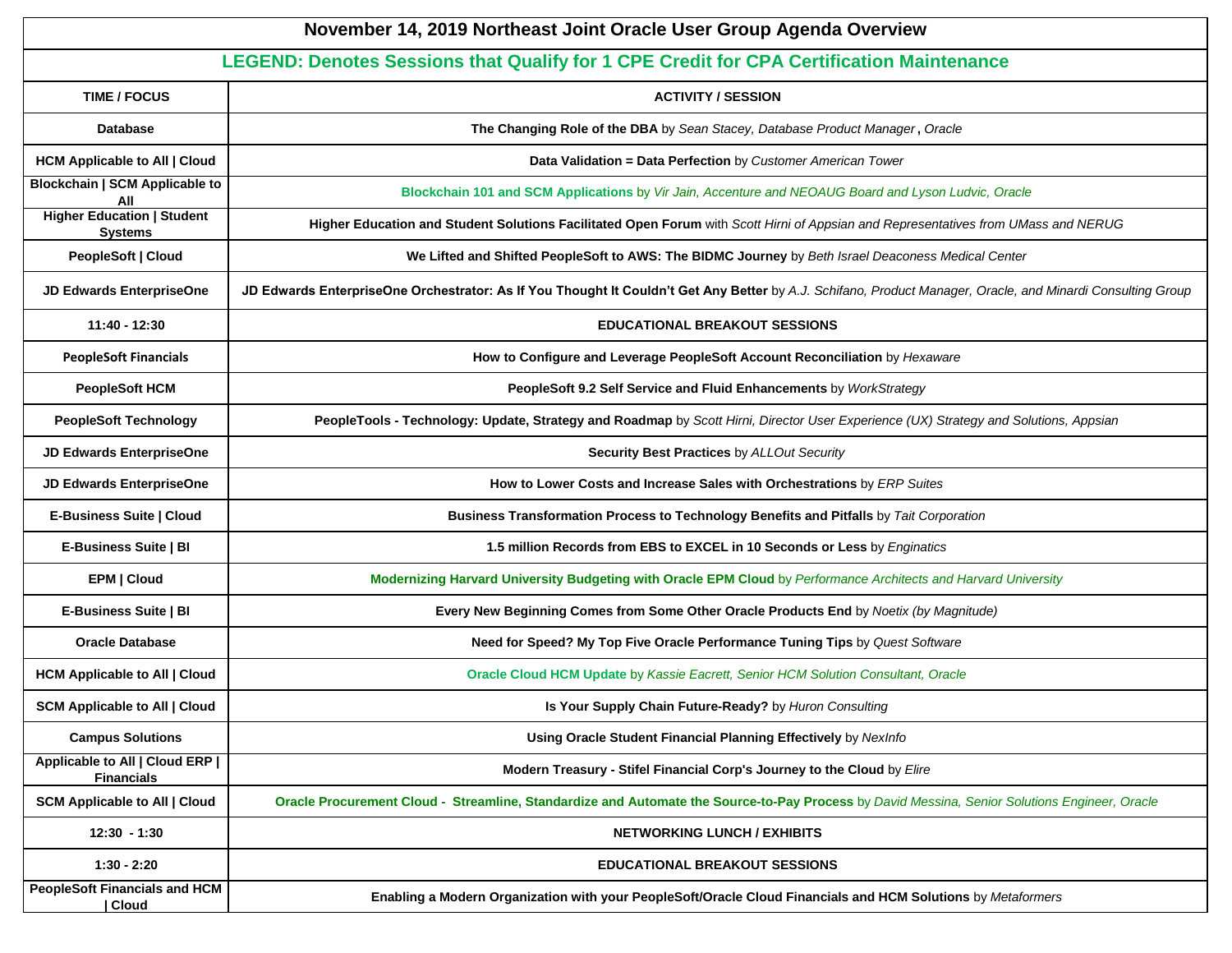| November 14, 2019 Northeast Joint Oracle User Group Agenda Overview                      |                                                                                                                                                             |  |  |  |  |
|------------------------------------------------------------------------------------------|-------------------------------------------------------------------------------------------------------------------------------------------------------------|--|--|--|--|
| LEGEND: Denotes Sessions that Qualify for 1 CPE Credit for CPA Certification Maintenance |                                                                                                                                                             |  |  |  |  |
| <b>TIME / FOCUS</b>                                                                      | <b>ACTIVITY / SESSION</b>                                                                                                                                   |  |  |  |  |
| <b>Database</b>                                                                          | The Changing Role of the DBA by Sean Stacey, Database Product Manager, Oracle                                                                               |  |  |  |  |
| <b>HCM Applicable to All   Cloud</b>                                                     | Data Validation = Data Perfection by Customer American Tower                                                                                                |  |  |  |  |
| <b>Blockchain   SCM Applicable to</b><br>All                                             | Blockchain 101 and SCM Applications by Vir Jain, Accenture and NEOAUG Board and Lyson Ludvic, Oracle                                                        |  |  |  |  |
| <b>Higher Education   Student</b><br><b>Systems</b>                                      | Higher Education and Student Solutions Facilitated Open Forum with Scott Hirni of Appsian and Representatives from UMass and NERUG                          |  |  |  |  |
| PeopleSoft   Cloud                                                                       | We Lifted and Shifted PeopleSoft to AWS: The BIDMC Journey by Beth Israel Deaconess Medical Center                                                          |  |  |  |  |
| <b>JD Edwards EnterpriseOne</b>                                                          | JD Edwards EnterpriseOne Orchestrator: As If You Thought It Couldn't Get Any Better by A.J. Schifano, Product Manager, Oracle, and Minardi Consulting Group |  |  |  |  |
| 11:40 - 12:30                                                                            | <b>EDUCATIONAL BREAKOUT SESSIONS</b>                                                                                                                        |  |  |  |  |
| <b>PeopleSoft Financials</b>                                                             | How to Configure and Leverage PeopleSoft Account Reconciliation by Hexaware                                                                                 |  |  |  |  |
| <b>PeopleSoft HCM</b>                                                                    | PeopleSoft 9.2 Self Service and Fluid Enhancements by WorkStrategy                                                                                          |  |  |  |  |
| <b>PeopleSoft Technology</b>                                                             | PeopleTools - Technology: Update, Strategy and Roadmap by Scott Hirni, Director User Experience (UX) Strategy and Solutions, Appsian                        |  |  |  |  |
| <b>JD Edwards EnterpriseOne</b>                                                          | Security Best Practices by ALLOut Security                                                                                                                  |  |  |  |  |
| JD Edwards EnterpriseOne                                                                 | How to Lower Costs and Increase Sales with Orchestrations by ERP Suites                                                                                     |  |  |  |  |
| E-Business Suite   Cloud                                                                 | Business Transformation Process to Technology Benefits and Pitfalls by Tait Corporation                                                                     |  |  |  |  |
| E-Business Suite   BI                                                                    | 1.5 million Records from EBS to EXCEL in 10 Seconds or Less by Enginatics                                                                                   |  |  |  |  |
| EPM   Cloud                                                                              | Modernizing Harvard University Budgeting with Oracle EPM Cloud by Performance Architects and Harvard University                                             |  |  |  |  |
| E-Business Suite   BI                                                                    | Every New Beginning Comes from Some Other Oracle Products End by Noetix (by Magnitude)                                                                      |  |  |  |  |
| <b>Oracle Database</b>                                                                   | Need for Speed? My Top Five Oracle Performance Tuning Tips by Quest Software                                                                                |  |  |  |  |
| <b>HCM Applicable to All   Cloud</b>                                                     | Oracle Cloud HCM Update by Kassie Eacrett, Senior HCM Solution Consultant, Oracle                                                                           |  |  |  |  |
| <b>SCM Applicable to All   Cloud</b>                                                     | Is Your Supply Chain Future-Ready? by Huron Consulting                                                                                                      |  |  |  |  |
| <b>Campus Solutions</b>                                                                  | Using Oracle Student Financial Planning Effectively by NexInfo                                                                                              |  |  |  |  |
| Applicable to All   Cloud ERP  <br><b>Financials</b>                                     | Modern Treasury - Stifel Financial Corp's Journey to the Cloud by Elire                                                                                     |  |  |  |  |
| <b>SCM Applicable to All   Cloud</b>                                                     | Oracle Procurement Cloud - Streamline, Standardize and Automate the Source-to-Pay Process by David Messina, Senior Solutions Engineer, Oracle               |  |  |  |  |
| $12:30 - 1:30$                                                                           | <b>NETWORKING LUNCH / EXHIBITS</b>                                                                                                                          |  |  |  |  |
| $1:30 - 2:20$                                                                            | <b>EDUCATIONAL BREAKOUT SESSIONS</b>                                                                                                                        |  |  |  |  |
| <b>PeopleSoft Financials and HCM</b><br>  Cloud                                          | Enabling a Modern Organization with your PeopleSoft/Oracle Cloud Financials and HCM Solutions by Metaformers                                                |  |  |  |  |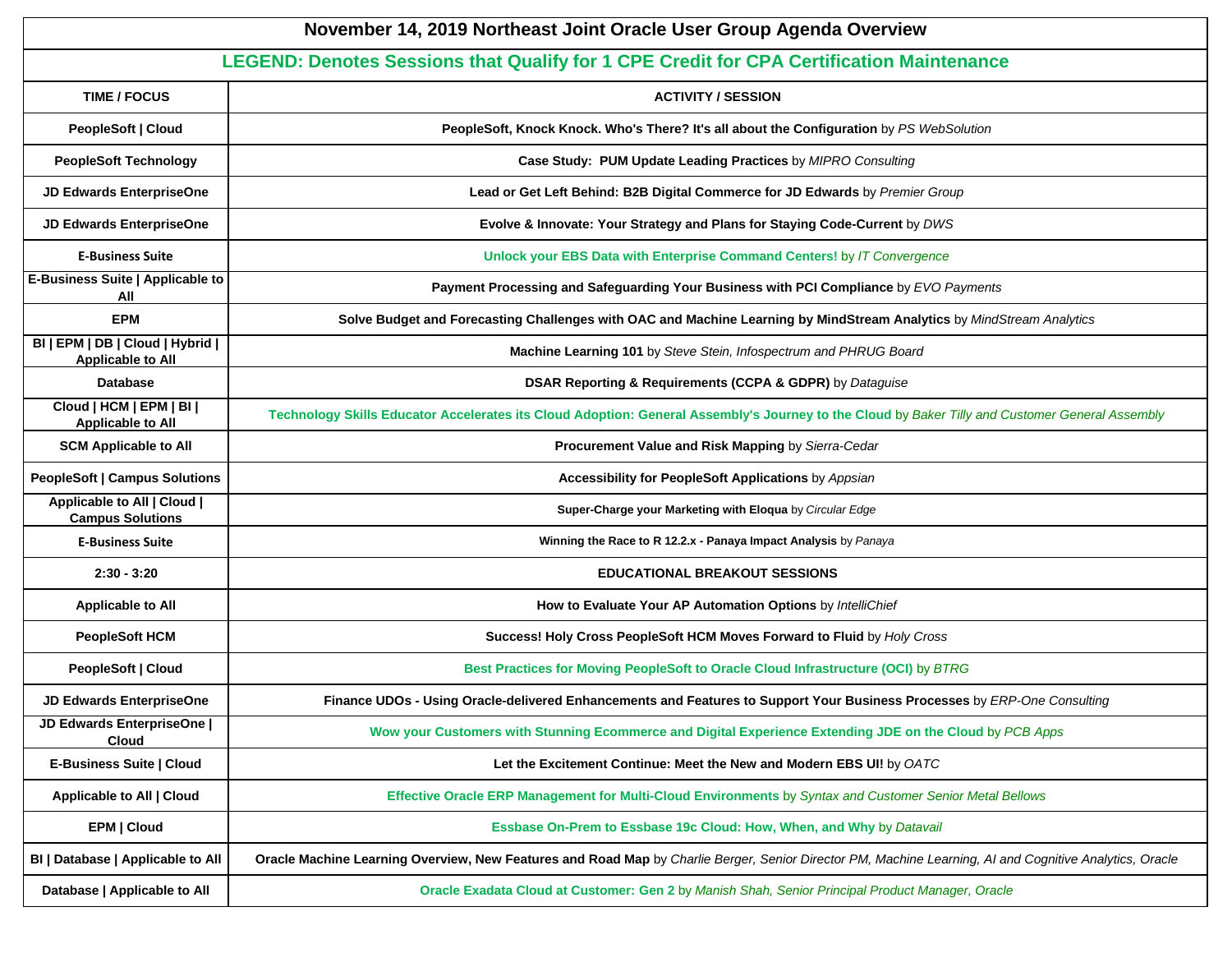| November 14, 2019 Northeast Joint Oracle User Group Agenda Overview                      |                                                                                                                                                         |  |  |  |  |
|------------------------------------------------------------------------------------------|---------------------------------------------------------------------------------------------------------------------------------------------------------|--|--|--|--|
| LEGEND: Denotes Sessions that Qualify for 1 CPE Credit for CPA Certification Maintenance |                                                                                                                                                         |  |  |  |  |
| <b>TIME / FOCUS</b>                                                                      | <b>ACTIVITY / SESSION</b>                                                                                                                               |  |  |  |  |
| PeopleSoft   Cloud                                                                       | PeopleSoft, Knock Knock. Who's There? It's all about the Configuration by PS WebSolution                                                                |  |  |  |  |
| <b>PeopleSoft Technology</b>                                                             | Case Study: PUM Update Leading Practices by MIPRO Consulting                                                                                            |  |  |  |  |
| <b>JD Edwards EnterpriseOne</b>                                                          | Lead or Get Left Behind: B2B Digital Commerce for JD Edwards by Premier Group                                                                           |  |  |  |  |
| <b>JD Edwards EnterpriseOne</b>                                                          | Evolve & Innovate: Your Strategy and Plans for Staying Code-Current by DWS                                                                              |  |  |  |  |
| <b>E-Business Suite</b>                                                                  | Unlock your EBS Data with Enterprise Command Centers! by IT Convergence                                                                                 |  |  |  |  |
| E-Business Suite   Applicable to<br>All                                                  | Payment Processing and Safeguarding Your Business with PCI Compliance by EVO Payments                                                                   |  |  |  |  |
| <b>EPM</b>                                                                               | Solve Budget and Forecasting Challenges with OAC and Machine Learning by MindStream Analytics by MindStream Analytics                                   |  |  |  |  |
| BI   EPM   DB   Cloud   Hybrid  <br><b>Applicable to All</b>                             | Machine Learning 101 by Steve Stein, Infospectrum and PHRUG Board                                                                                       |  |  |  |  |
| <b>Database</b>                                                                          | DSAR Reporting & Requirements (CCPA & GDPR) by Dataguise                                                                                                |  |  |  |  |
| Cloud   HCM   EPM   BI  <br><b>Applicable to All</b>                                     | Technology Skills Educator Accelerates its Cloud Adoption: General Assembly's Journey to the Cloud by Baker Tilly and Customer General Assembly         |  |  |  |  |
| <b>SCM Applicable to All</b>                                                             | Procurement Value and Risk Mapping by Sierra-Cedar                                                                                                      |  |  |  |  |
| <b>PeopleSoft   Campus Solutions</b>                                                     | Accessibility for PeopleSoft Applications by Appsian                                                                                                    |  |  |  |  |
| <b>Applicable to All   Cloud  </b><br><b>Campus Solutions</b>                            | Super-Charge your Marketing with Eloqua by Circular Edge                                                                                                |  |  |  |  |
| <b>E-Business Suite</b>                                                                  | Winning the Race to R 12.2.x - Panaya Impact Analysis by Panaya                                                                                         |  |  |  |  |
| $2:30 - 3:20$                                                                            | <b>EDUCATIONAL BREAKOUT SESSIONS</b>                                                                                                                    |  |  |  |  |
| <b>Applicable to All</b>                                                                 | How to Evaluate Your AP Automation Options by IntelliChief                                                                                              |  |  |  |  |
| <b>PeopleSoft HCM</b>                                                                    | Success! Holy Cross PeopleSoft HCM Moves Forward to Fluid by Holy Cross                                                                                 |  |  |  |  |
| PeopleSoft   Cloud                                                                       | Best Practices for Moving PeopleSoft to Oracle Cloud Infrastructure (OCI) by BTRG                                                                       |  |  |  |  |
| <b>JD Edwards EnterpriseOne</b>                                                          | Finance UDOs - Using Oracle-delivered Enhancements and Features to Support Your Business Processes by ERP-One Consulting                                |  |  |  |  |
| JD Edwards EnterpriseOne  <br><b>Cloud</b>                                               | Wow your Customers with Stunning Ecommerce and Digital Experience Extending JDE on the Cloud by PCB Apps                                                |  |  |  |  |
| E-Business Suite   Cloud                                                                 | Let the Excitement Continue: Meet the New and Modern EBS UI! by OATC                                                                                    |  |  |  |  |
| Applicable to All   Cloud                                                                | Effective Oracle ERP Management for Multi-Cloud Environments by Syntax and Customer Senior Metal Bellows                                                |  |  |  |  |
| EPM   Cloud                                                                              | Essbase On-Prem to Essbase 19c Cloud: How, When, and Why by Datavail                                                                                    |  |  |  |  |
| BI   Database   Applicable to All                                                        | Oracle Machine Learning Overview, New Features and Road Map by Charlie Berger, Senior Director PM, Machine Learning, AI and Cognitive Analytics, Oracle |  |  |  |  |
| Database   Applicable to All                                                             | Oracle Exadata Cloud at Customer: Gen 2 by Manish Shah, Senior Principal Product Manager, Oracle                                                        |  |  |  |  |